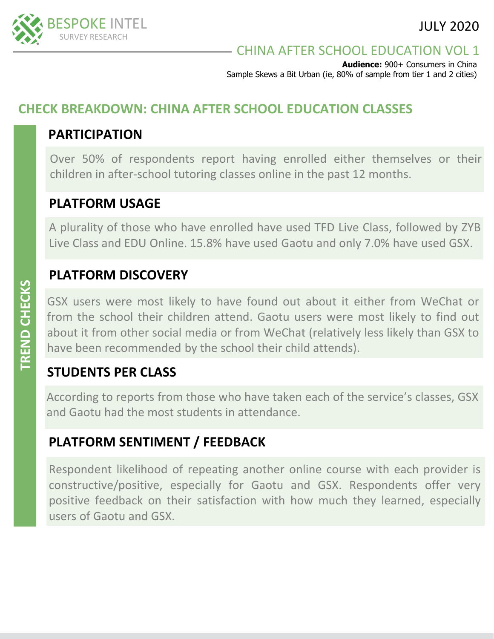# CHINA AFTER SCHOOL EDUCATION VOL 1

**Audience:** 900+ Consumers in China Sample Skews a Bit Urban (ie, 80% of sample from tier 1 and 2 cities)

# **CHECK BREAKDOWN: CHINA AFTER SCHOOL EDUCATION CLASSES**

## **PARTICIPATION**

Over 50% of respondents report having enrolled either themselves or their children in after-school tutoring classes online in the past 12 months.

# **PLATFORM USAGE**

A plurality of those who have enrolled have used TFD Live Class, followed by ZYB Live Class and EDU Online. 15.8% have used Gaotu and only 7.0% have used GSX.

# **PLATFORM DISCOVERY**

GSX users were most likely to have found out about it either from WeChat or from the school their children attend. Gaotu users were most likely to find out about it from other social media or from WeChat (relatively less likely than GSX to have been recommended by the school their child attends).

# **STUDENTS PER CLASS**

According to reports from those who have taken each of the service's classes, GSX and Gaotu had the most students in attendance.

# **PLATFORM SENTIMENT / FEEDBACK**

Respondent likelihood of repeating another online course with each provider is constructive/positive, especially for Gaotu and GSX. Respondents offer very positive feedback on their satisfaction with how much they learned, especially users of Gaotu and GSX.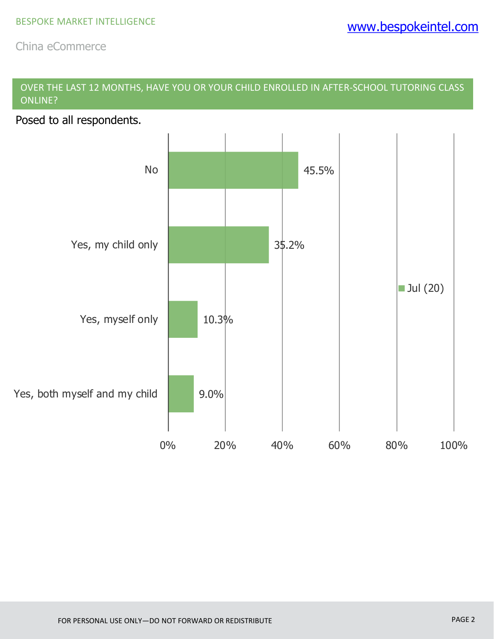## OVER THE LAST 12 MONTHS, HAVE YOU OR YOUR CHILD ENROLLED IN AFTER-SCHOOL TUTORING CLASS ONLINE?

Posed to all respondents.

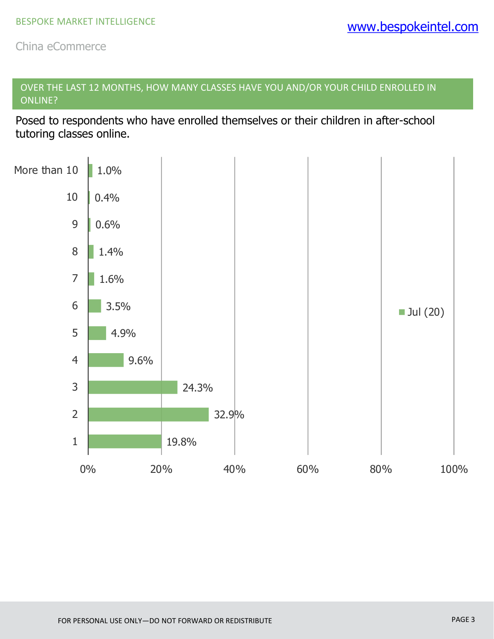OVER THE LAST 12 MONTHS, HOW MANY CLASSES HAVE YOU AND/OR YOUR CHILD ENROLLED IN ONLINE?

Posed to respondents who have enrolled themselves or their children in after-school tutoring classes online.

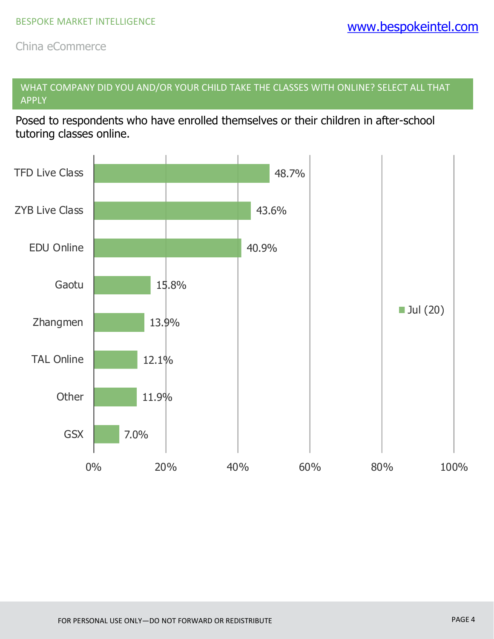WHAT COMPANY DID YOU AND/OR YOUR CHILD TAKE THE CLASSES WITH ONLINE? SELECT ALL THAT APPLY

Posed to respondents who have enrolled themselves or their children in after-school tutoring classes online.

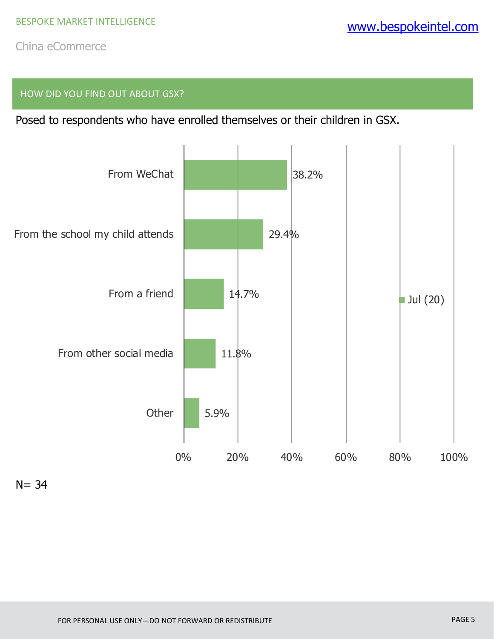### HOW DID YOU FIND OUT ABOUT GSX?

Posed to respondents who have enrolled themselves or their children in GSX.



 $N = 34$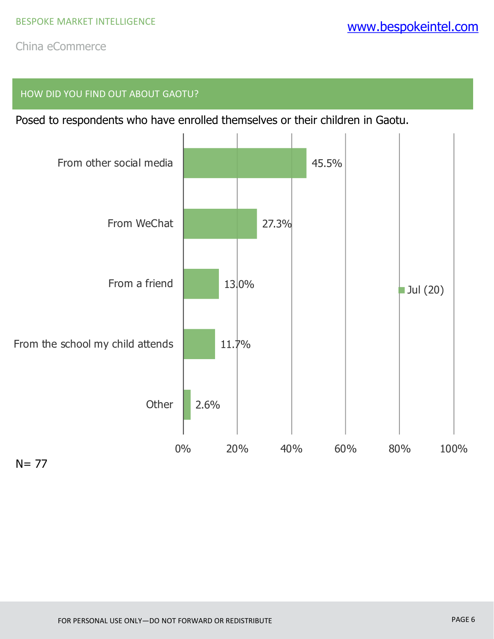#### HOW DID YOU FIND OUT ABOUT GAOTU?

Posed to respondents who have enrolled themselves or their children in Gaotu.

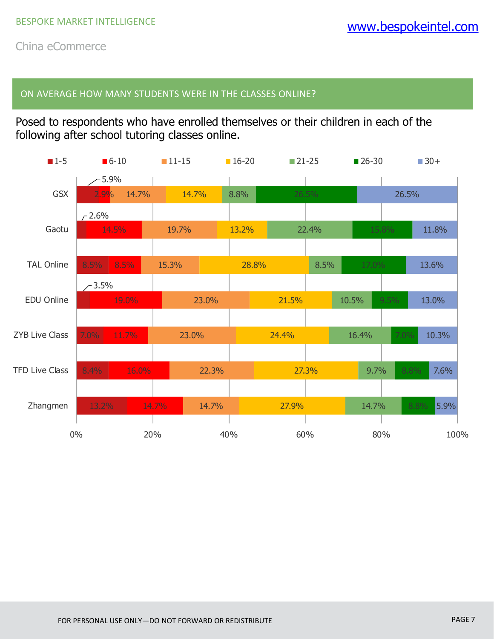#### ON AVERAGE HOW MANY STUDENTS WERE IN THE CLASSES ONLINE?

Posed to respondents who have enrolled themselves or their children in each of the following after school tutoring classes online.

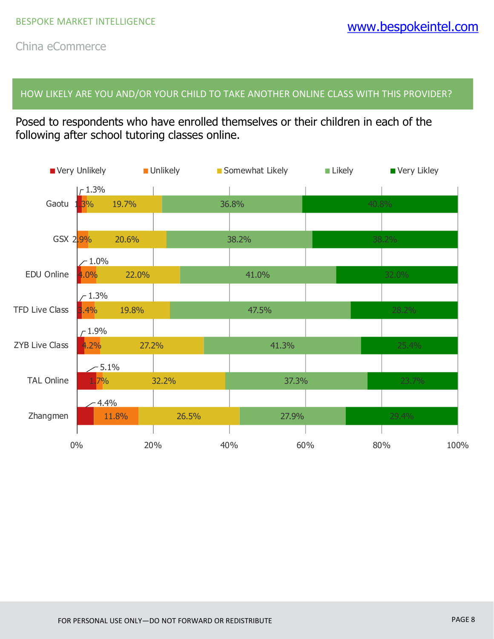HOW LIKELY ARE YOU AND/OR YOUR CHILD TO TAKE ANOTHER ONLINE CLASS WITH THIS PROVIDER?

Posed to respondents who have enrolled themselves or their children in each of the following after school tutoring classes online.